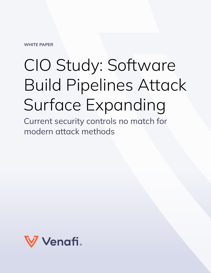**WHITE PAPER**

# CIO Study: Software Build Pipelines Attack Surface Expanding

Current security controls no match for modern attack methods

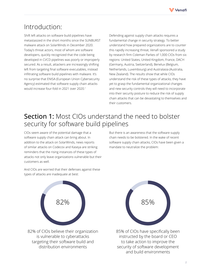

#### Introduction:

Shift left attacks on software build pipelines have metastasized in the short months since the SUNBURST malware attack on SolarWinds in December 2020. Today's threat actors, most of whom are software developers, quickly recognized that the code being developed in CI/CD pipelines was poorly or improperly secured. As a result, attackers are increasingly shifting left from targeting final software executables, instead infiltrating software build pipelines with malware. It's no surprise that ENISA (European Union Cybersecurity Agency) estimated that software supply chain attacks would increase four-fold in 2021 over 2020.1

Defending against supply chain attacks requires a fundamental change in security strategy. To better understand how prepared organizations are to counter this rapidly increasing threat, Venafi sponsored a study by research firm Coleman Parkes of 1,000 CIOs from six regions: United States, United Kingdom, France, DACH (Germany, Austria, Switzerland), Benelux (Belgium, Netherlands, Luxembourg) and Australasia (Australia, New Zealand). The results show that while CIOs understand the risk of these types of attacks, they have yet to grasp the fundamental organizational changes and new security controls they will need to incorporate into their security posture to reduce the risk of supply chain attacks that can be devastating to themselves and their customers.

### Section 1: Most CIOs understand the need to bolster security for software build pipelines

CIOs seem aware of the potential damage that a software supply chain attack can bring about. In addition to the attack on SolarWinds, news reports of similar attacks on Codecov and Kaseya are striking reminders that the rising instances of these types of attacks not only leave organizations vulnerable but their customers as well.

But there is an awareness that the software supply chain needs to be bolstered. In the wake of recent software supply chain attacks, CIOs have been given a mandate to neutralize the problem:



And CIOs are worried that their defenses against these types of attacks are inadequate at best:



82% of CIOs believe their organization is vulnerable to cyberattacks targeting their software build and distribution environments



85% of CIOs have specifically been instructed by the board or CEO to take action to improve the security of software development and build environments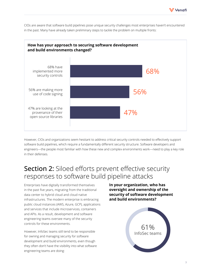





However, CIOs and organizations seem hesitant to address critical security controls needed to effectively support software build pipelines, which require a fundamentally different security structure. Software developers and engineers—the people most familiar with how these new and complex environments work—need to play a key role in their defenses.

#### Section 2: Siloed efforts prevent effective security responses to software build pipeline attacks

Enterprises have digitally transformed themselves in the past five years, migrating from the traditional data center to hybrid cloud and cloud native infrastructures. The modern enterprise is embracing public cloud instances (AWS, Azure, GCP), applications and services that include microservices, containers and APIs. As a result, development and software engineering teams oversee many of the security controls for these environments.

However, InfoSec teams still tend to be responsible for owning and managing security for software development and build environments, even though they often don't have the visibility into what software engineering teams are doing:

**In your organization, who has oversight and ownership of the security of software development and build environments?**

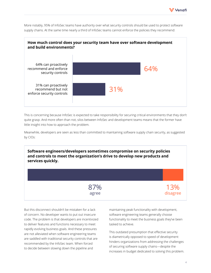

More notably, 95% of InfoSec teams have authority over what security controls should be used to protect software supply chains. At the same time nearly a third of InfoSec teams cannot enforce the policies they recommend:



This is concerning because InfoSec is expected to take responsibility for securing critical environments that they don't quite grasp. And more often than not, silos between InfoSec and development teams means that the former have little insight into how to approach the problem.

Meanwhile, developers are seen as less than committed to maintaining software supply chain security, as suggested by CIOs:

**Software engineers/developers sometimes compromise on security policies and controls to meet the organization's drive to develop new products and services quickly.**

> 87% agree

But this disconnect shouldn't be mistaken for a lack of concern. No developer wants to put out insecure code. The problem is that developers are incentivized to deliver features and functions necessary to meet rapidly evolving business goals. And these pressures are not alleviated when software engineering teams are saddled with traditional security controls that are recommended by the InfoSec team. When forced to decide between slowing down the pipeline and

maintaining peak functionality with development, software engineering teams generally choose functionality to meet the business goals they've been tasked to achieve.

This outdated presumption that effective security is diametrically opposed to speed of development hinders organizations from addressing the challenges of securing software supply chains—despite the increases in budget dedicated to solving this problem.

13% disagree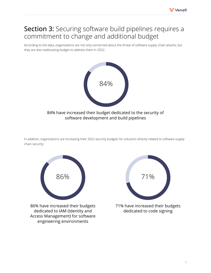

## Section 3: Securing software build pipelines requires a commitment to change and additional budget

According to the data, organizations are not only concerned about the threat of software supply chain attacks, but they are also reallocating budget to address them in 2022:



In addition, organizations are increasing their 2022 security budgets for solutions directly related to software supply chain security:



86% have increased their budgets dedicated to IAM (Identity and Access Management) for software engineering environments



71% have increased their budgets dedicated to code signing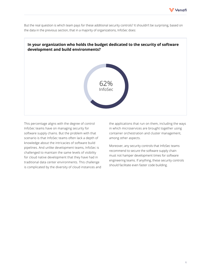

But the real question is which team pays for these additional security controls? It shouldn't be surprising, based on the data in the previous section, that in a majority of organizations, InfoSec does:



This percentage aligns with the degree of control InfoSec teams have on managing security for software supply chains. But the problem with that scenario is that InfoSec teams often lack a depth of knowledge about the intricacies of software build pipelines. And unlike development teams, InfoSec is challenged to maintain the same levels of visibility for cloud native development that they have had in traditional data center environments. This challenge is complicated by the diversity of cloud instances and the applications that run on them, including the ways in which microservices are brought together using container orchestration and cluster management, among other aspects.

Moreover, any security controls that InfoSec teams recommend to secure the software supply chain must not hamper development times for software engineering teams. If anything, these security controls should facilitate even faster code building.